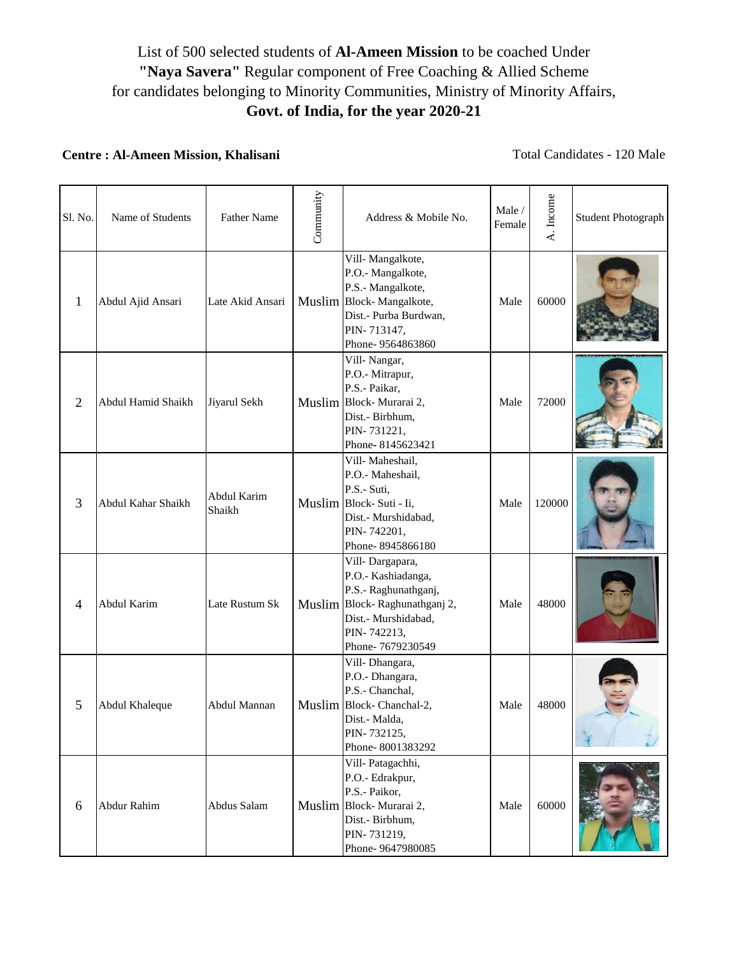## List of 500 selected students of **Al-Ameen Mission** to be coached Under **"Naya Savera"** Regular component of Free Coaching & Allied Scheme for candidates belonging to Minority Communities, Ministry of Minority Affairs, **Govt. of India, for the year 2020-21**

## **Centre : Al-Ameen Mission, Khalisani**

Total Candidates - 120 Male

| Sl. No.        | Name of Students   | <b>Father Name</b>    | Community | Address & Mobile No.                                                                                                                                     | Male /<br>Female | A. Income | Student Photograph |
|----------------|--------------------|-----------------------|-----------|----------------------------------------------------------------------------------------------------------------------------------------------------------|------------------|-----------|--------------------|
| $\mathbf{1}$   | Abdul Ajid Ansari  | Late Akid Ansari      |           | Vill-Mangalkote,<br>P.O.- Mangalkote,<br>P.S.- Mangalkote,<br>Muslim Block-Mangalkote,<br>Dist.- Purba Burdwan,<br>PIN-713147,<br>Phone- 9564863860      | Male             | 60000     |                    |
| $\overline{2}$ | Abdul Hamid Shaikh | Jiyarul Sekh          |           | Vill-Nangar,<br>P.O.- Mitrapur,<br>P.S.- Paikar,<br>Muslim Block-Murarai 2,<br>Dist.- Birbhum,<br>PIN-731221,<br>Phone-8145623421                        | Male             | 72000     |                    |
| 3              | Abdul Kahar Shaikh | Abdul Karim<br>Shaikh |           | Vill-Maheshail,<br>P.O.- Maheshail,<br>P.S.- Suti,<br>Muslim Block-Suti - Ii,<br>Dist.- Murshidabad,<br>PIN-742201,<br>Phone-8945866180                  | Male             | 120000    |                    |
| $\overline{4}$ | Abdul Karim        | Late Rustum Sk        |           | Vill-Dargapara,<br>P.O.- Kashiadanga,<br>P.S.- Raghunathganj,<br>Muslim Block-Raghunathganj 2,<br>Dist.- Murshidabad,<br>PIN-742213,<br>Phone-7679230549 | Male             | 48000     |                    |
| 5              | Abdul Khaleque     | Abdul Mannan          |           | Vill-Dhangara,<br>P.O.- Dhangara,<br>P.S.- Chanchal,<br>Muslim Block-Chanchal-2,<br>Dist.- Malda,<br>PIN-732125,<br>Phone-8001383292                     | Male             | 48000     |                    |
| 6              | <b>Abdur Rahim</b> | Abdus Salam           |           | Vill-Patagachhi,<br>P.O.- Edrakpur,<br>P.S.- Paikor,<br>Muslim Block-Murarai 2,<br>Dist.- Birbhum,<br>PIN-731219,<br>Phone- 9647980085                   | Male             | 60000     |                    |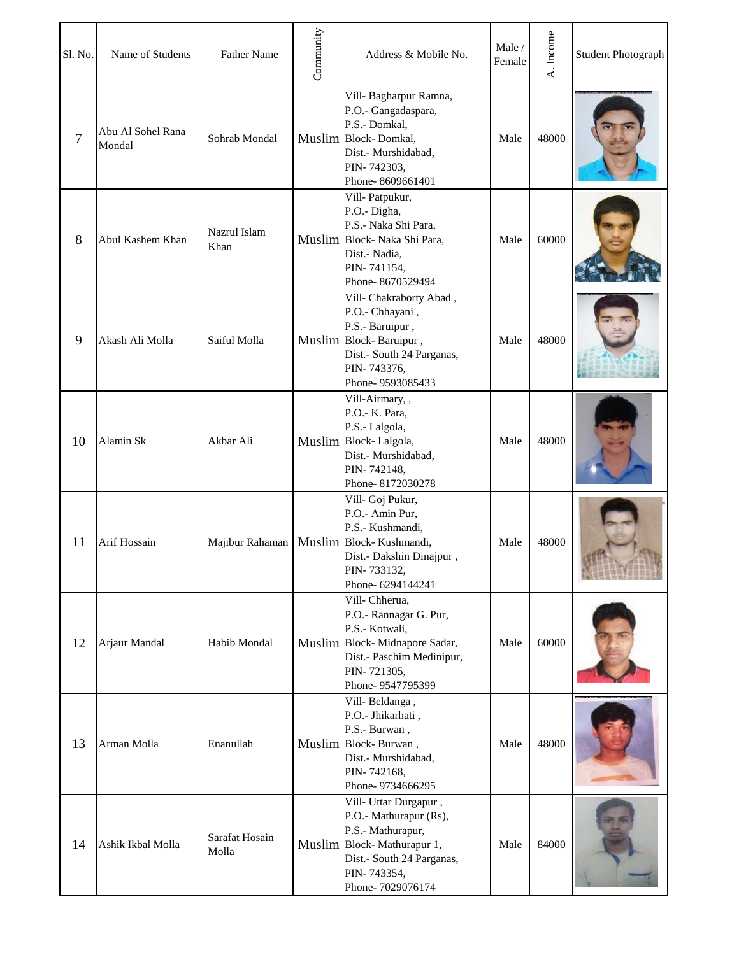| Sl. No. | Name of Students            | <b>Father Name</b>      | Community | Address & Mobile No.                                                                                                                                               | Male/<br>Female | A. Income | <b>Student Photograph</b> |
|---------|-----------------------------|-------------------------|-----------|--------------------------------------------------------------------------------------------------------------------------------------------------------------------|-----------------|-----------|---------------------------|
| 7       | Abu Al Sohel Rana<br>Mondal | Sohrab Mondal           |           | Vill- Bagharpur Ramna,<br>P.O.- Gangadaspara,<br>P.S.- Domkal,<br>Muslim Block-Domkal,<br>Dist.- Murshidabad,<br>PIN-742303,<br>Phone-8609661401                   | Male            | 48000     |                           |
| 8       | Abul Kashem Khan            | Nazrul Islam<br>Khan    |           | Vill-Patpukur,<br>P.O.- Digha,<br>P.S.- Naka Shi Para,<br>Muslim Block- Naka Shi Para,<br>Dist.- Nadia,<br>PIN-741154,<br>Phone-8670529494                         | Male            | 60000     |                           |
| 9       | Akash Ali Molla             | Saiful Molla            |           | Vill- Chakraborty Abad,<br>P.O.- Chhayani,<br>P.S.- Baruipur,<br>Muslim Block-Baruipur,<br>Dist.- South 24 Parganas,<br>PIN-743376,<br>Phone- 9593085433           | Male            | 48000     |                           |
| 10      | Alamin Sk                   | Akbar Ali               |           | Vill-Airmary,,<br>P.O.- K. Para,<br>P.S.- Lalgola,<br>Muslim Block-Lalgola,<br>Dist.- Murshidabad,<br>PIN-742148,<br>Phone-8172030278                              | Male            | 48000     |                           |
| 11      | Arif Hossain                | Majibur Rahaman         |           | Vill- Goj Pukur,<br>P.O.- Amin Pur,<br>P.S.- Kushmandi,<br>Muslim Block-Kushmandi,<br>Dist.- Dakshin Dinajpur,<br>PIN-733132,<br>Phone-6294144241                  | Male            | 48000     |                           |
| 12      | Arjaur Mandal               | Habib Mondal            |           | Vill-Chherua,<br>P.O.- Rannagar G. Pur,<br>P.S.- Kotwali,<br>Muslim Block-Midnapore Sadar,<br>Dist.- Paschim Medinipur,<br>PIN-721305,<br>Phone-9547795399         | Male            | 60000     |                           |
| 13      | Arman Molla                 | Enanullah               |           | Vill-Beldanga,<br>P.O.- Jhikarhati,<br>P.S.- Burwan,<br>Muslim Block-Burwan,<br>Dist.- Murshidabad,<br>PIN-742168,<br>Phone-9734666295                             | Male            | 48000     |                           |
| 14      | Ashik Ikbal Molla           | Sarafat Hosain<br>Molla |           | Vill- Uttar Durgapur,<br>P.O.- Mathurapur (Rs),<br>P.S.- Mathurapur,<br>Muslim Block-Mathurapur 1,<br>Dist.- South 24 Parganas,<br>PIN-743354,<br>Phone-7029076174 | Male            | 84000     |                           |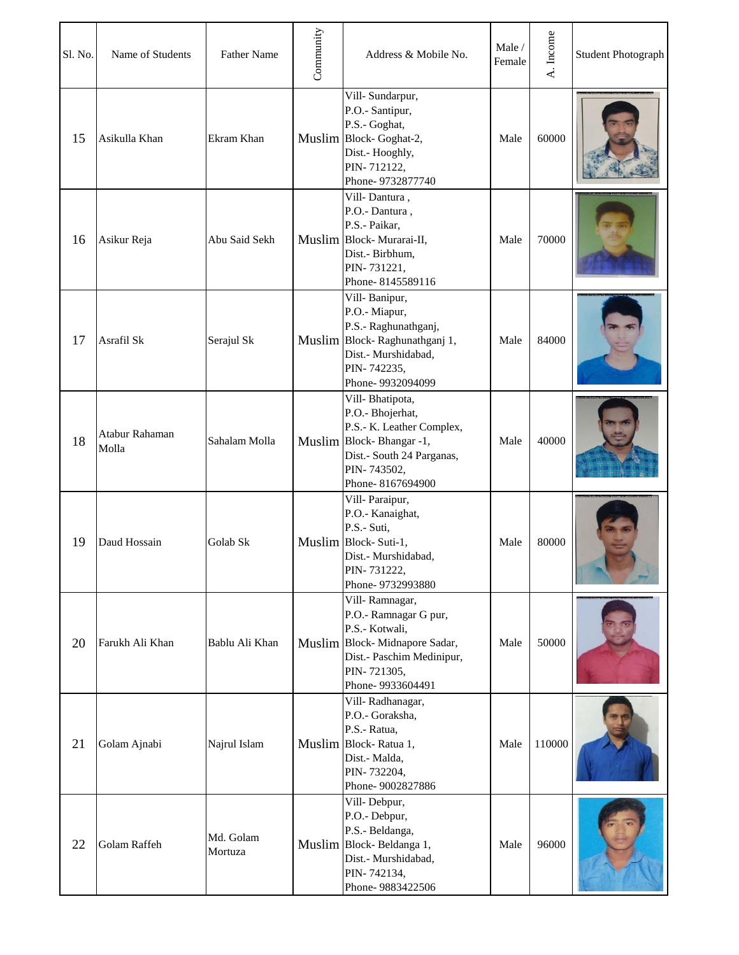| Sl. No. | Name of Students        | <b>Father Name</b>   | Community | Address & Mobile No.                                                                                                                                         | Male /<br>Female | A. Income | <b>Student Photograph</b> |
|---------|-------------------------|----------------------|-----------|--------------------------------------------------------------------------------------------------------------------------------------------------------------|------------------|-----------|---------------------------|
| 15      | Asikulla Khan           | Ekram Khan           |           | Vill-Sundarpur,<br>P.O.- Santipur,<br>P.S.- Goghat,<br>Muslim Block-Goghat-2,<br>Dist.- Hooghly,<br>PIN-712122,<br>Phone-9732877740                          | Male             | 60000     |                           |
| 16      | Asikur Reja             | Abu Said Sekh        |           | Vill-Dantura,<br>P.O.- Dantura,<br>P.S.- Paikar,<br>Muslim Block-Murarai-II,<br>Dist.- Birbhum,<br>PIN-731221,<br>Phone-8145589116                           | Male             | 70000     |                           |
| 17      | Asrafil Sk              | Serajul Sk           |           | Vill-Banipur,<br>P.O.- Miapur,<br>P.S.- Raghunathganj,<br>Muslim Block-Raghunathganj 1,<br>Dist.- Murshidabad,<br>PIN-742235,<br>Phone-9932094099            | Male             | 84000     |                           |
| 18      | Atabur Rahaman<br>Molla | Sahalam Molla        |           | Vill-Bhatipota,<br>P.O.- Bhojerhat,<br>P.S.- K. Leather Complex,<br>Muslim Block-Bhangar -1,<br>Dist.- South 24 Parganas,<br>PIN-743502,<br>Phone-8167694900 | Male             | 40000     |                           |
| 19      | Daud Hossain            | Golab Sk             |           | Vill-Paraipur,<br>P.O.- Kanaighat,<br>P.S.- Suti,<br>Muslim Block-Suti-1,<br>Dist.- Murshidabad,<br>PIN-731222,<br>Phone- 9732993880                         | Male             | 80000     |                           |
| 20      | Farukh Ali Khan         | Bablu Ali Khan       |           | Vill-Ramnagar,<br>P.O.- Ramnagar G pur,<br>P.S.- Kotwali,<br>Muslim Block-Midnapore Sadar,<br>Dist.- Paschim Medinipur,<br>PIN-721305,<br>Phone-9933604491   | Male             | 50000     |                           |
| 21      | Golam Ajnabi            | Najrul Islam         |           | Vill-Radhanagar,<br>P.O.- Goraksha,<br>P.S.- Ratua,<br>Muslim Block-Ratua 1,<br>Dist.- Malda,<br>PIN-732204,<br>Phone-9002827886                             | Male             | 110000    |                           |
| 22      | Golam Raffeh            | Md. Golam<br>Mortuza |           | Vill-Debpur,<br>P.O.- Debpur,<br>P.S.- Beldanga,<br>Muslim Block-Beldanga 1,<br>Dist.- Murshidabad,<br>PIN-742134,<br>Phone-9883422506                       | Male             | 96000     |                           |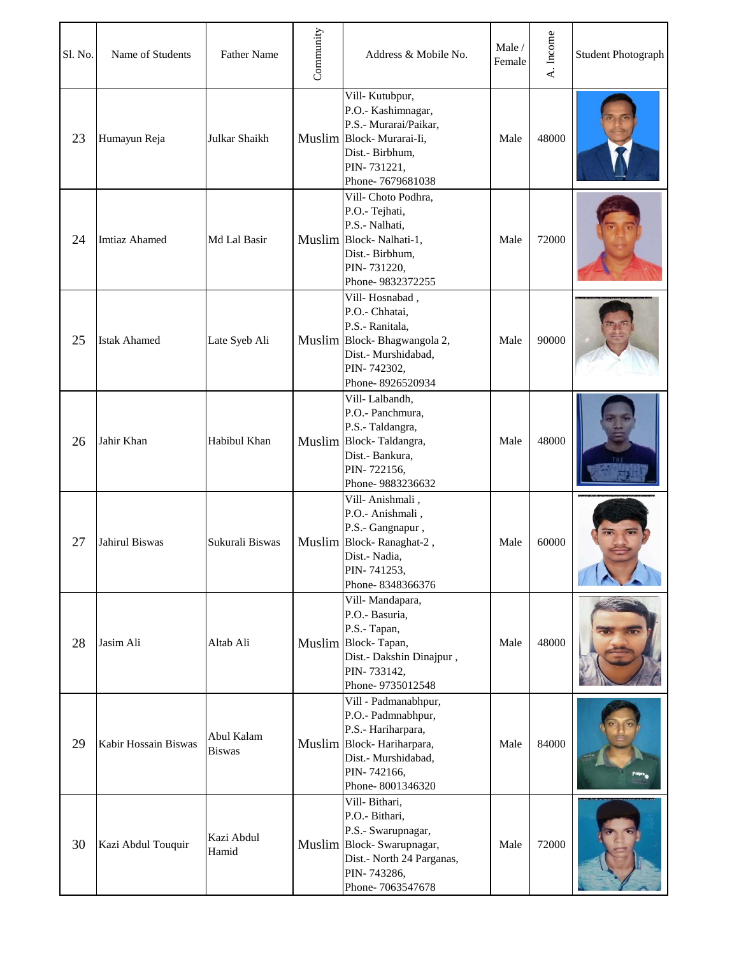| Sl. No. | Name of Students      | <b>Father Name</b>          | Community | Address & Mobile No.                                                                                                                                    | Male /<br>Female | A. Income | <b>Student Photograph</b> |
|---------|-----------------------|-----------------------------|-----------|---------------------------------------------------------------------------------------------------------------------------------------------------------|------------------|-----------|---------------------------|
| 23      | Humayun Reja          | Julkar Shaikh               |           | Vill-Kutubpur,<br>P.O.- Kashimnagar,<br>P.S.- Murarai/Paikar,<br>Muslim Block-Murarai-Ii,<br>Dist.- Birbhum,<br>PIN-731221,<br>Phone-7679681038         | Male             | 48000     |                           |
| 24      | <b>Imtiaz Ahamed</b>  | Md Lal Basir                |           | Vill- Choto Podhra,<br>P.O.- Tejhati,<br>P.S.- Nalhati,<br>Muslim Block-Nalhati-1,<br>Dist.- Birbhum,<br>PIN-731220,<br>Phone-9832372255                | Male             | 72000     |                           |
| 25      | <b>Istak Ahamed</b>   | Late Syeb Ali               |           | Vill-Hosnabad,<br>P.O.- Chhatai,<br>P.S.- Ranitala,<br>Muslim Block-Bhagwangola 2,<br>Dist.- Murshidabad,<br>PIN-742302,<br>Phone-8926520934            | Male             | 90000     |                           |
| 26      | Jahir Khan            | Habibul Khan                |           | Vill-Lalbandh,<br>P.O.- Panchmura,<br>P.S.- Taldangra,<br>Muslim Block-Taldangra,<br>Dist.- Bankura,<br>PIN-722156,<br>Phone-9883236632                 | Male             | 48000     |                           |
| 27      | <b>Jahirul Biswas</b> | Sukurali Biswas             |           | Vill-Anishmali,<br>P.O.- Anishmali,<br>P.S.- Gangnapur,<br>Muslim Block-Ranaghat-2,<br>Dist.- Nadia,<br>PIN-741253,<br>Phone-8348366376                 | Male             | 60000     |                           |
| 28      | Jasim Ali             | Altab Ali                   |           | Vill-Mandapara,<br>P.O.- Basuria,<br>P.S.- Tapan,<br>Muslim Block-Tapan,<br>Dist.- Dakshin Dinajpur,<br>PIN-733142,<br>Phone-9735012548                 | Male             | 48000     |                           |
| 29      | Kabir Hossain Biswas  | Abul Kalam<br><b>Biswas</b> |           | Vill - Padmanabhpur,<br>P.O.- Padmnabhpur,<br>P.S.- Hariharpara,<br>Muslim Block-Hariharpara,<br>Dist.- Murshidabad,<br>PIN-742166,<br>Phone-8001346320 | Male             | 84000     |                           |
| 30      | Kazi Abdul Touquir    | Kazi Abdul<br>Hamid         |           | Vill-Bithari,<br>P.O.- Bithari,<br>P.S.- Swarupnagar,<br>Muslim Block-Swarupnagar,<br>Dist.- North 24 Parganas,<br>PIN-743286,<br>Phone-7063547678      | Male             | 72000     |                           |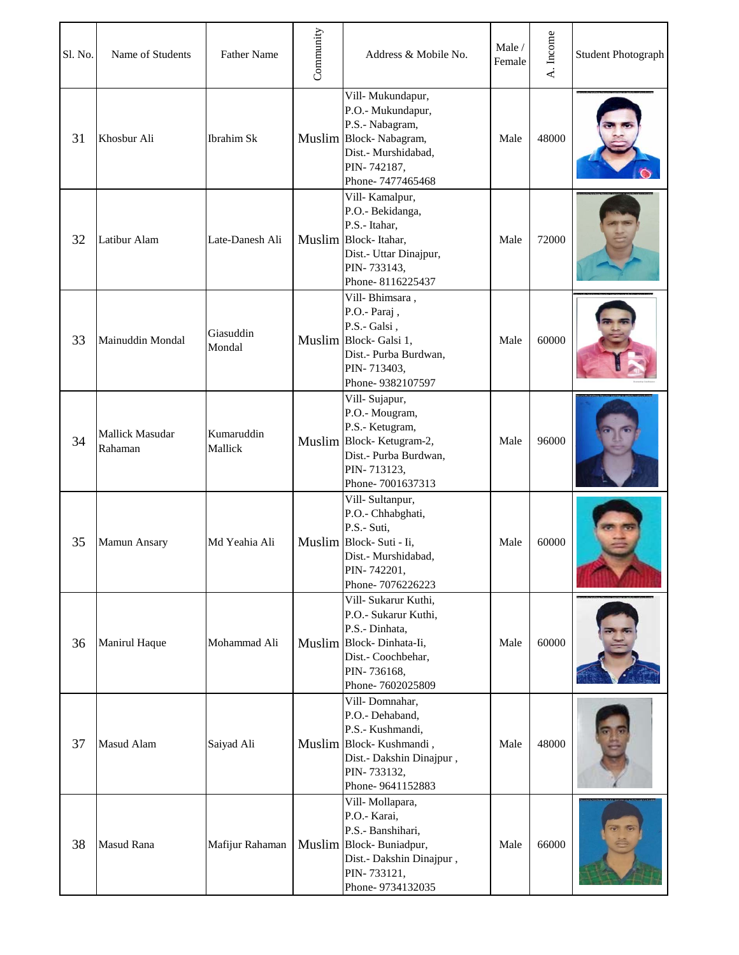| Sl. No. | Name of Students                  | <b>Father Name</b>    | Community | Address & Mobile No.                                                                                                                                | Male /<br>Female | A. Income | <b>Student Photograph</b> |
|---------|-----------------------------------|-----------------------|-----------|-----------------------------------------------------------------------------------------------------------------------------------------------------|------------------|-----------|---------------------------|
| 31      | Khosbur Ali                       | <b>Ibrahim Sk</b>     |           | Vill-Mukundapur,<br>P.O.- Mukundapur,<br>P.S.- Nabagram,<br>Muslim Block-Nabagram,<br>Dist.- Murshidabad,<br>PIN-742187,<br>Phone-7477465468        | Male             | 48000     |                           |
| 32      | Latibur Alam                      | Late-Danesh Ali       |           | Vill-Kamalpur,<br>P.O.- Bekidanga,<br>P.S.- Itahar,<br>Muslim Block-Itahar,<br>Dist.- Uttar Dinajpur,<br>PIN-733143,<br>Phone-8116225437            | Male             | 72000     |                           |
| 33      | Mainuddin Mondal                  | Giasuddin<br>Mondal   |           | Vill-Bhimsara,<br>P.O.- Paraj,<br>P.S.- Galsi,<br>Muslim Block-Galsi 1,<br>Dist.- Purba Burdwan,<br>PIN-713403,<br>Phone-9382107597                 | Male             | 60000     |                           |
| 34      | <b>Mallick Masudar</b><br>Rahaman | Kumaruddin<br>Mallick |           | Vill-Sujapur,<br>P.O.- Mougram,<br>P.S.- Ketugram,<br>Muslim Block-Ketugram-2,<br>Dist.- Purba Burdwan,<br>PIN-713123,<br>Phone-7001637313          | Male             | 96000     |                           |
| 35      | Mamun Ansary                      | Md Yeahia Ali         |           | Vill-Sultanpur,<br>P.O.- Chhabghati,<br>P.S.- Suti,<br>Muslim Block- Suti - Ii,<br>Dist.- Murshidabad,<br>PIN-742201,<br>Phone-7076226223           | Male             | 60000     |                           |
| 36      | Manirul Haque                     | Mohammad Ali          |           | Vill- Sukarur Kuthi,<br>P.O.- Sukarur Kuthi,<br>P.S.- Dinhata,<br>Muslim Block-Dinhata-Ii,<br>Dist.- Coochbehar,<br>PIN-736168,<br>Phone-7602025809 | Male             | 60000     |                           |
| 37      | Masud Alam                        | Saiyad Ali            |           | Vill-Domnahar,<br>P.O.- Dehaband,<br>P.S.- Kushmandi,<br>Muslim Block-Kushmandi,<br>Dist.- Dakshin Dinajpur,<br>PIN-733132,<br>Phone-9641152883     | Male             | 48000     |                           |
| 38      | <b>Masud Rana</b>                 | Mafijur Rahaman       |           | Vill-Mollapara,<br>P.O.- Karai,<br>P.S.- Banshihari,<br>Muslim Block-Buniadpur,<br>Dist.- Dakshin Dinajpur,<br>PIN-733121,<br>Phone-9734132035      | Male             | 66000     |                           |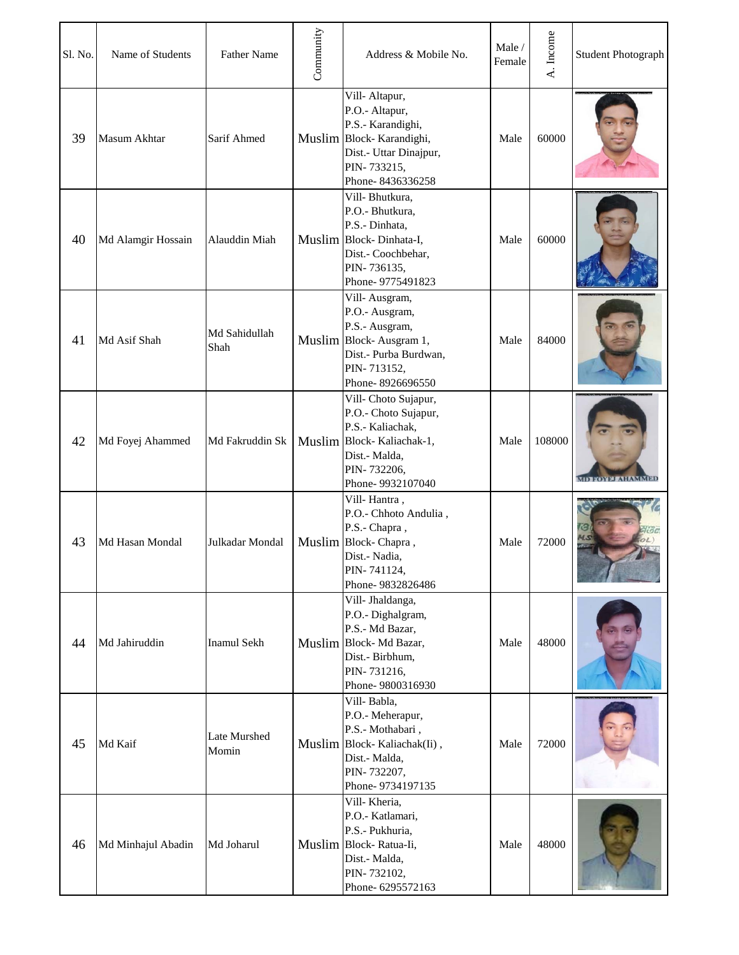| Sl. No. | Name of Students   | <b>Father Name</b>    | Community | Address & Mobile No.                                                                                                                              | Male/<br>Female | A. Income | <b>Student Photograph</b> |
|---------|--------------------|-----------------------|-----------|---------------------------------------------------------------------------------------------------------------------------------------------------|-----------------|-----------|---------------------------|
| 39      | Masum Akhtar       | Sarif Ahmed           |           | Vill-Altapur,<br>P.O.- Altapur,<br>P.S.- Karandighi,<br>Muslim Block-Karandighi,<br>Dist.- Uttar Dinajpur,<br>PIN-733215,<br>Phone-8436336258     | Male            | 60000     |                           |
| 40      | Md Alamgir Hossain | Alauddin Miah         |           | Vill-Bhutkura,<br>P.O.- Bhutkura,<br>P.S.- Dinhata,<br>Muslim Block-Dinhata-I,<br>Dist.- Coochbehar,<br>PIN-736135,<br>Phone-9775491823           | Male            | 60000     |                           |
| 41      | Md Asif Shah       | Md Sahidullah<br>Shah |           | Vill-Ausgram,<br>P.O.- Ausgram,<br>P.S.- Ausgram,<br>Muslim Block-Ausgram 1,<br>Dist.- Purba Burdwan,<br>PIN-713152,<br>Phone-8926696550          | Male            | 84000     |                           |
| 42      | Md Foyej Ahammed   | Md Fakruddin Sk       |           | Vill- Choto Sujapur,<br>P.O.- Choto Sujapur,<br>P.S.- Kaliachak,<br>Muslim Block-Kaliachak-1,<br>Dist.- Malda,<br>PIN-732206,<br>Phone-9932107040 | Male            | 108000    |                           |
| 43      | Md Hasan Mondal    | Julkadar Mondal       |           | Vill-Hantra,<br>P.O.- Chhoto Andulia,<br>P.S.- Chapra,<br>Muslim Block-Chapra,<br>Dist.- Nadia,<br>PIN-741124,<br>Phone-9832826486                | Male            | 72000     | G                         |
| 44      | Md Jahiruddin      | <b>Inamul Sekh</b>    |           | Vill- Jhaldanga,<br>P.O.- Dighalgram,<br>P.S.- Md Bazar,<br>Muslim Block-Md Bazar,<br>Dist.- Birbhum,<br>PIN-731216,<br>Phone-9800316930          | Male            | 48000     |                           |
| 45      | Md Kaif            | Late Murshed<br>Momin |           | Vill-Babla,<br>P.O.- Meherapur,<br>P.S.- Mothabari,<br>Muslim Block-Kaliachak(Ii),<br>Dist.- Malda,<br>PIN-732207,<br>Phone-9734197135            | Male            | 72000     |                           |
| 46      | Md Minhajul Abadin | Md Joharul            |           | Vill-Kheria,<br>P.O.- Katlamari,<br>P.S.- Pukhuria,<br>Muslim Block-Ratua-Ii,<br>Dist.- Malda,<br>PIN-732102,<br>Phone- 6295572163                | Male            | 48000     |                           |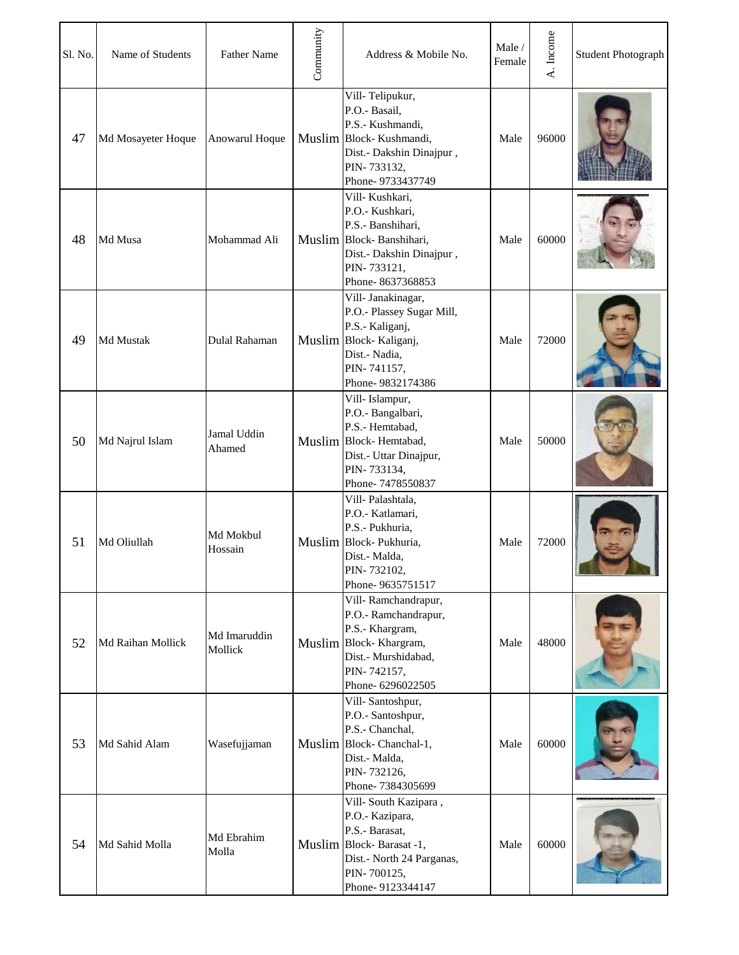| Sl. No. | Name of Students   | <b>Father Name</b>      | Community | Address & Mobile No.                                                                                                                                  | Male /<br>Female | A. Income | <b>Student Photograph</b> |
|---------|--------------------|-------------------------|-----------|-------------------------------------------------------------------------------------------------------------------------------------------------------|------------------|-----------|---------------------------|
| 47      | Md Mosayeter Hoque | Anowarul Hoque          |           | Vill-Telipukur,<br>P.O.- Basail,<br>P.S.- Kushmandi,<br>Muslim Block-Kushmandi,<br>Dist.- Dakshin Dinajpur,<br>PIN-733132,<br>Phone-9733437749        | Male             | 96000     |                           |
| 48      | Md Musa            | Mohammad Ali            |           | Vill- Kushkari,<br>P.O.- Kushkari,<br>P.S.- Banshihari,<br>Muslim Block-Banshihari,<br>Dist.- Dakshin Dinajpur,<br>PIN-733121,<br>Phone-8637368853    | Male             | 60000     |                           |
| 49      | Md Mustak          | Dulal Rahaman           |           | Vill- Janakinagar,<br>P.O.- Plassey Sugar Mill,<br>P.S.- Kaliganj,<br>Muslim Block-Kaliganj,<br>Dist.- Nadia,<br>PIN-741157,<br>Phone-9832174386      | Male             | 72000     |                           |
| 50      | Md Najrul Islam    | Jamal Uddin<br>Ahamed   |           | Vill- Islampur,<br>P.O.- Bangalbari,<br>P.S.- Hemtabad,<br>Muslim Block-Hemtabad,<br>Dist.- Uttar Dinajpur,<br>PIN-733134,<br>Phone-7478550837        | Male             | 50000     |                           |
| 51      | Md Oliullah        | Md Mokbul<br>Hossain    |           | Vill-Palashtala,<br>P.O.- Katlamari,<br>P.S.- Pukhuria,<br>Muslim Block-Pukhuria,<br>Dist.- Malda,<br>PIN-732102,<br>Phone-9635751517                 | Male             | 72000     | WE MA                     |
| 52      | Md Raihan Mollick  | Md Imaruddin<br>Mollick |           | Vill-Ramchandrapur,<br>P.O.- Ramchandrapur,<br>P.S.- Khargram,<br>Muslim Block-Khargram,<br>Dist.- Murshidabad,<br>PIN-742157,<br>Phone-6296022505    | Male             | 48000     |                           |
| 53      | Md Sahid Alam      | Wasefujjaman            |           | Vill-Santoshpur,<br>P.O.- Santoshpur,<br>P.S.- Chanchal,<br>Muslim Block-Chanchal-1,<br>Dist.- Malda,<br>PIN-732126,<br>Phone-7384305699              | Male             | 60000     |                           |
| 54      | Md Sahid Molla     | Md Ebrahim<br>Molla     |           | Vill-South Kazipara,<br>P.O.- Kazipara,<br>P.S.- Barasat,<br>Muslim Block-Barasat -1,<br>Dist.- North 24 Parganas,<br>PIN-700125,<br>Phone-9123344147 | Male             | 60000     |                           |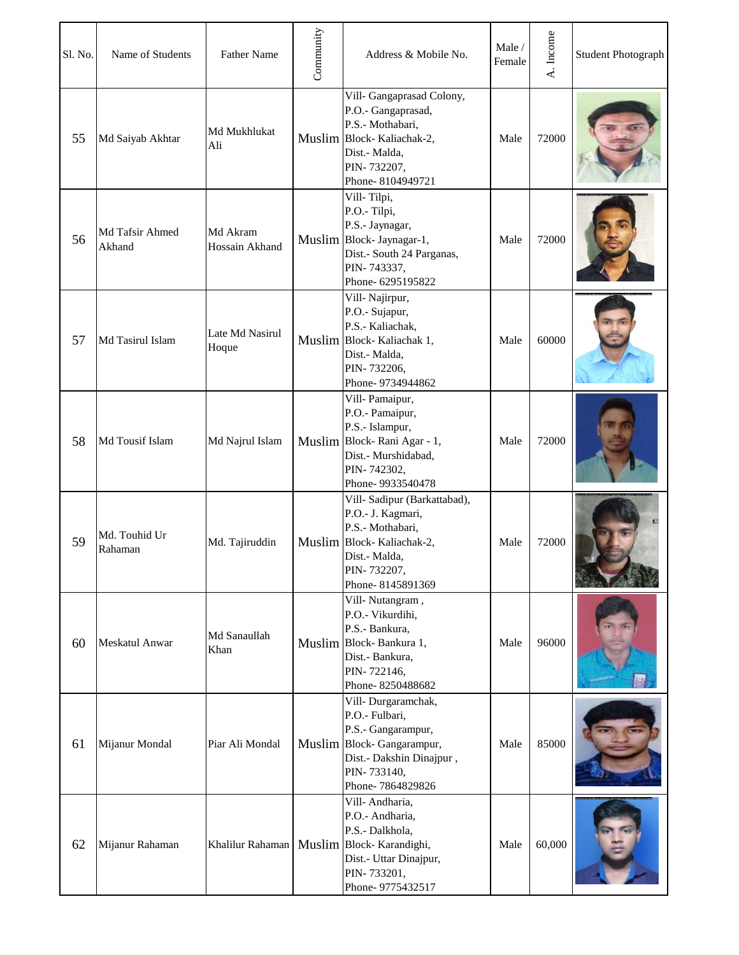| Sl. No. | Name of Students          | <b>Father Name</b>         | Community | Address & Mobile No.                                                                                                                                                | Male /<br>Female | A. Income | <b>Student Photograph</b> |
|---------|---------------------------|----------------------------|-----------|---------------------------------------------------------------------------------------------------------------------------------------------------------------------|------------------|-----------|---------------------------|
| 55      | Md Saiyab Akhtar          | Md Mukhlukat<br>Ali        |           | Vill- Gangaprasad Colony,<br>P.O.- Gangaprasad,<br>P.S.- Mothabari,<br>Muslim Block-Kaliachak-2,<br>Dist.- Malda,<br>PIN-732207,<br>Phone-8104949721                | Male             | 72000     |                           |
| 56      | Md Tafsir Ahmed<br>Akhand | Md Akram<br>Hossain Akhand |           | Vill-Tilpi,<br>P.O.-Tilpi,<br>P.S.- Jaynagar,<br>Muslim Block- Jaynagar-1,<br>Dist.- South 24 Parganas,<br>PIN-743337,<br>Phone- 6295195822                         | Male             | 72000     |                           |
| 57      | Md Tasirul Islam          | Late Md Nasirul<br>Hoque   |           | Vill-Najirpur,<br>P.O.- Sujapur,<br>P.S.- Kaliachak,<br>Muslim Block-Kaliachak 1,<br>Dist.- Malda,<br>PIN-732206,<br>Phone-9734944862                               | Male             | 60000     |                           |
| 58      | Md Tousif Islam           | Md Najrul Islam            |           | Vill-Pamaipur,<br>P.O.- Pamaipur,<br>P.S.- Islampur,<br>Muslim Block-Rani Agar - 1,<br>Dist.- Murshidabad,<br>PIN-742302,<br>Phone-9933540478                       | Male             | 72000     |                           |
| 59      | Md. Touhid Ur<br>Rahaman  | Md. Tajiruddin             |           | Vill- Sadipur (Barkattabad),<br>P.O.- J. Kagmari,<br>P.S.- Mothabari,<br>Muslim Block-Kaliachak-2,<br>Dist.- Malda,<br>PIN-732207,<br>Phone-8145891369              | Male             | 72000     |                           |
| 60      | <b>Meskatul Anwar</b>     | Md Sanaullah<br>Khan       |           | Vill-Nutangram,<br>P.O.- Vikurdihi,<br>P.S.- Bankura,<br>Muslim Block-Bankura 1,<br>Dist.- Bankura,<br>PIN-722146,<br>Phone-8250488682                              | Male             | 96000     |                           |
| 61      | Mijanur Mondal            | Piar Ali Mondal            |           | Vill-Durgaramchak,<br>P.O.- Fulbari,<br>P.S.- Gangarampur,<br>Muslim Block-Gangarampur,<br>Dist.- Dakshin Dinajpur,<br>PIN-733140,<br>Phone-7864829826              | Male             | 85000     |                           |
| 62      | Mijanur Rahaman           |                            |           | Vill-Andharia,<br>P.O.- Andharia,<br>P.S.- Dalkhola,<br>Khalilur Rahaman   Muslim   Block- Karandighi,<br>Dist.- Uttar Dinajpur,<br>PIN-733201,<br>Phone-9775432517 | Male             | 60,000    |                           |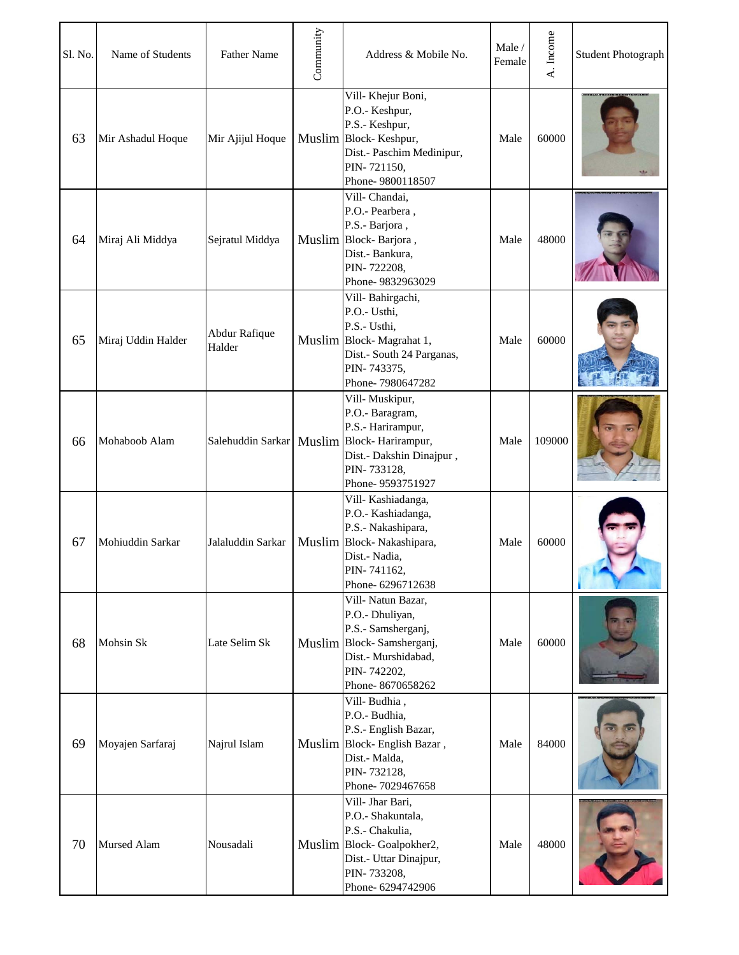| Sl. No. | Name of Students   | <b>Father Name</b>      | Community | Address & Mobile No.                                                                                                                                                     | Male/<br>Female | A. Income | <b>Student Photograph</b> |
|---------|--------------------|-------------------------|-----------|--------------------------------------------------------------------------------------------------------------------------------------------------------------------------|-----------------|-----------|---------------------------|
| 63      | Mir Ashadul Hoque  | Mir Ajijul Hoque        |           | Vill-Khejur Boni,<br>P.O.- Keshpur,<br>P.S.- Keshpur,<br>Muslim Block-Keshpur,<br>Dist.- Paschim Medinipur,<br>PIN-721150,<br>Phone-9800118507                           | Male            | 60000     |                           |
| 64      | Miraj Ali Middya   | Sejratul Middya         |           | Vill-Chandai,<br>P.O.- Pearbera,<br>P.S.- Barjora,<br>Muslim Block-Barjora,<br>Dist.- Bankura,<br>PIN-722208,<br>Phone-9832963029                                        | Male            | 48000     |                           |
| 65      | Miraj Uddin Halder | Abdur Rafique<br>Halder |           | Vill-Bahirgachi,<br>P.O.- Usthi,<br>P.S.- Usthi,<br>Muslim Block-Magrahat 1,<br>Dist.- South 24 Parganas,<br>PIN-743375,<br>Phone-7980647282                             | Male            | 60000     |                           |
| 66      | Mohaboob Alam      |                         |           | Vill-Muskipur,<br>P.O.- Baragram,<br>P.S.- Harirampur,<br>Salehuddin Sarkar   Muslim   Block- Harirampur,<br>Dist.- Dakshin Dinajpur,<br>PIN-733128,<br>Phone-9593751927 | Male            | 109000    |                           |
| 67      | Mohiuddin Sarkar   | Jalaluddin Sarkar       |           | Vill-Kashiadanga,<br>P.O.- Kashiadanga,<br>P.S.- Nakashipara,<br>Muslim Block-Nakashipara,<br>Dist.- Nadia,<br>PIN-741162,<br>Phone- 6296712638                          | Male            | 60000     |                           |
| 68      | Mohsin Sk          | Late Selim Sk           |           | Vill-Natun Bazar,<br>P.O.- Dhuliyan,<br>P.S.- Samsherganj,<br>Muslim Block-Samsherganj,<br>Dist.- Murshidabad,<br>PIN-742202,<br>Phone-8670658262                        | Male            | 60000     |                           |
| 69      | Moyajen Sarfaraj   | Najrul Islam            |           | Vill-Budhia,<br>P.O.- Budhia,<br>P.S.- English Bazar,<br>Muslim Block-English Bazar,<br>Dist.- Malda,<br>PIN-732128,<br>Phone-7029467658                                 | Male            | 84000     |                           |
| 70      | <b>Mursed Alam</b> | Nousadali               |           | Vill- Jhar Bari,<br>P.O.- Shakuntala,<br>P.S.- Chakulia,<br>Muslim Block-Goalpokher2,<br>Dist.- Uttar Dinajpur,<br>PIN-733208,<br>Phone- 6294742906                      | Male            | 48000     |                           |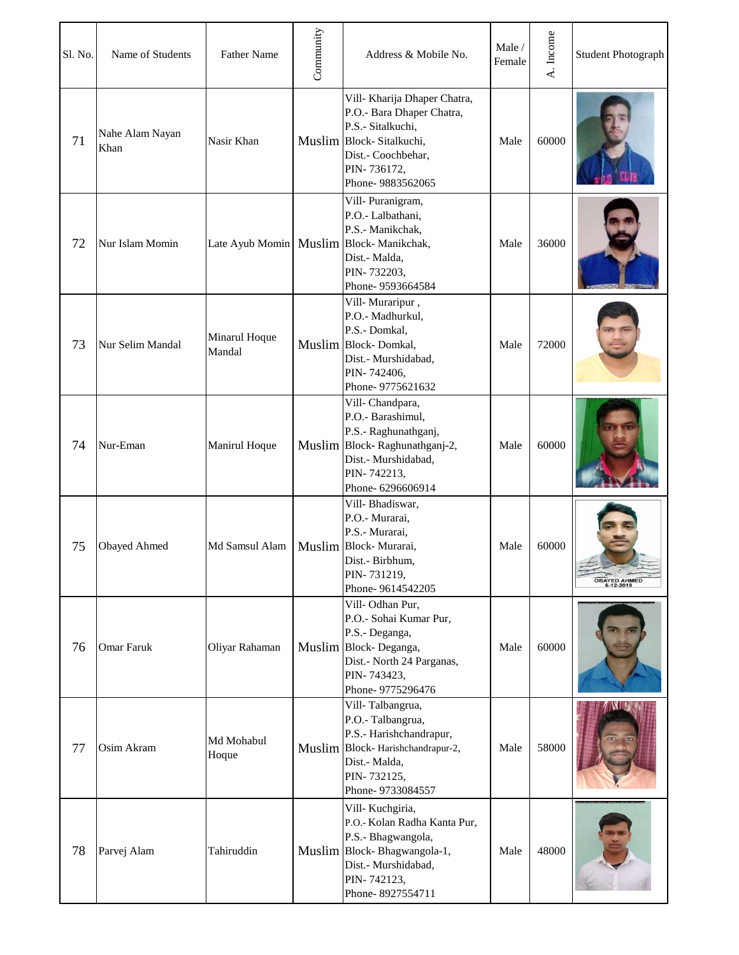| Sl. No. | Name of Students        | <b>Father Name</b>      | Community | Address & Mobile No.                                                                                                                                                | Male /<br>Female | A. Income | <b>Student Photograph</b> |
|---------|-------------------------|-------------------------|-----------|---------------------------------------------------------------------------------------------------------------------------------------------------------------------|------------------|-----------|---------------------------|
| 71      | Nahe Alam Nayan<br>Khan | Nasir Khan              |           | Vill- Kharija Dhaper Chatra,<br>P.O.- Bara Dhaper Chatra,<br>P.S.- Sitalkuchi,<br>Muslim Block-Sitalkuchi,<br>Dist.- Coochbehar,<br>PIN-736172,<br>Phone-9883562065 | Male             | 60000     |                           |
| 72      | Nur Islam Momin         |                         |           | Vill-Puranigram,<br>P.O.- Lalbathani,<br>P.S.- Manikchak,<br>Late Ayub Momin   Muslim   Block- Manikchak,<br>Dist.- Malda,<br>PIN-732203,<br>Phone-9593664584       | Male             | 36000     |                           |
| 73      | Nur Selim Mandal        | Minarul Hoque<br>Mandal |           | Vill-Muraripur,<br>P.O.- Madhurkul,<br>P.S.- Domkal,<br>Muslim Block-Domkal,<br>Dist.- Murshidabad,<br>PIN-742406,<br>Phone-9775621632                              | Male             | 72000     |                           |
| 74      | Nur-Eman                | Manirul Hoque           |           | Vill-Chandpara,<br>P.O.- Barashimul,<br>P.S.- Raghunathganj,<br>Muslim Block-Raghunathganj-2,<br>Dist.- Murshidabad,<br>PIN-742213,<br>Phone-6296606914             | Male             | 60000     |                           |
| 75      | <b>Obayed Ahmed</b>     | Md Samsul Alam          |           | Vill-Bhadiswar,<br>P.O.- Murarai,<br>P.S.- Murarai,<br>Muslim Block-Murarai,<br>Dist.- Birbhum,<br>PIN-731219,<br>Phone-9614542205                                  | Male             | 60000     | OBAYED AHMED<br>6-12-2019 |
| 76      | Omar Faruk              | Oliyar Rahaman          |           | Vill-Odhan Pur,<br>P.O.- Sohai Kumar Pur,<br>P.S.- Deganga,<br>Muslim Block-Deganga,<br>Dist.- North 24 Parganas,<br>PIN-743423,<br>Phone-9775296476                | Male             | 60000     |                           |
| 77      | Osim Akram              | Md Mohabul<br>Hoque     |           | Vill-Talbangrua,<br>P.O.- Talbangrua,<br>P.S.- Harishchandrapur,<br>Muslim Block-Harishchandrapur-2,<br>Dist.- Malda,<br>PIN-732125,<br>Phone-9733084557            | Male             | 58000     |                           |
| 78      | Parvej Alam             | Tahiruddin              |           | Vill-Kuchgiria,<br>P.O.- Kolan Radha Kanta Pur,<br>P.S.- Bhagwangola,<br>Muslim Block-Bhagwangola-1,<br>Dist.- Murshidabad,<br>PIN-742123,<br>Phone-8927554711      | Male             | 48000     |                           |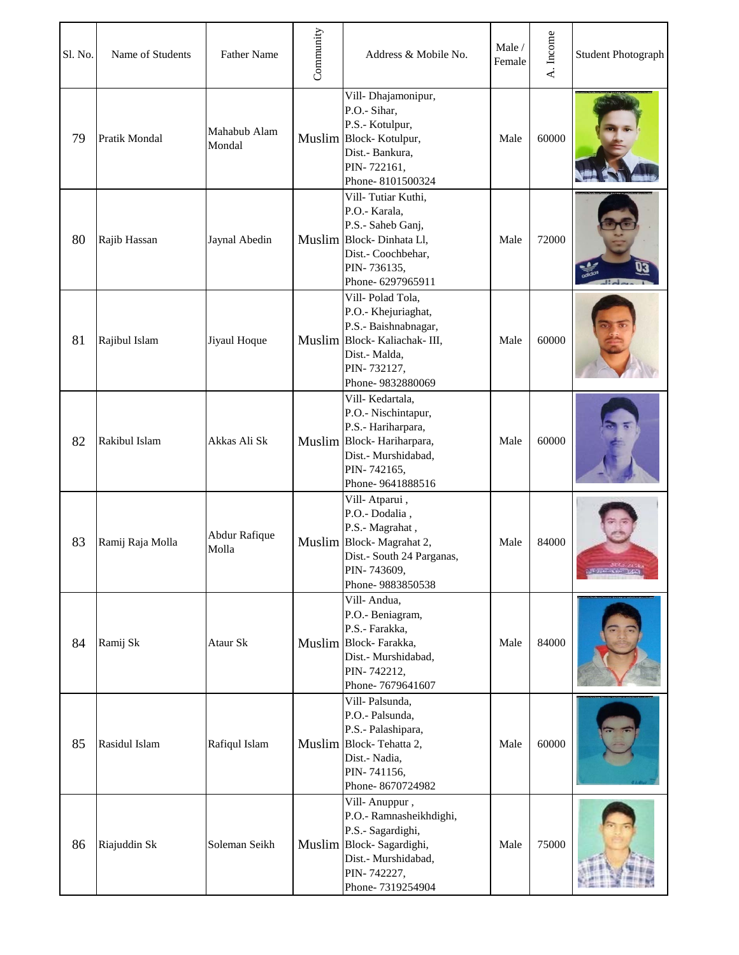| Sl. No. | Name of Students     | <b>Father Name</b>     | Community | Address & Mobile No.                                                                                                                                | Male /<br>Female | A. Income | <b>Student Photograph</b> |
|---------|----------------------|------------------------|-----------|-----------------------------------------------------------------------------------------------------------------------------------------------------|------------------|-----------|---------------------------|
| 79      | <b>Pratik Mondal</b> | Mahabub Alam<br>Mondal |           | Vill-Dhajamonipur,<br>P.O.- Sihar,<br>P.S.- Kotulpur,<br>Muslim Block-Kotulpur,<br>Dist.- Bankura,<br>PIN-722161,<br>Phone-8101500324               | Male             | 60000     |                           |
| 80      | Rajib Hassan         | Jaynal Abedin          |           | Vill-Tutiar Kuthi,<br>P.O.- Karala,<br>P.S.- Saheb Ganj,<br>Muslim Block-Dinhata Ll,<br>Dist.- Coochbehar,<br>PIN-736135,<br>Phone- 6297965911      | Male             | 72000     |                           |
| 81      | Rajibul Islam        | Jiyaul Hoque           |           | Vill-Polad Tola,<br>P.O.- Khejuriaghat,<br>P.S.- Baishnabnagar,<br>Muslim Block-Kaliachak-III,<br>Dist.- Malda,<br>PIN-732127,<br>Phone-9832880069  | Male             | 60000     |                           |
| 82      | Rakibul Islam        | Akkas Ali Sk           |           | Vill-Kedartala,<br>P.O.- Nischintapur,<br>P.S.- Hariharpara,<br>Muslim Block-Hariharpara,<br>Dist.- Murshidabad,<br>PIN-742165,<br>Phone-9641888516 | Male             | 60000     |                           |
| 83      | Ramij Raja Molla     | Abdur Rafique<br>Molla |           | Vill-Atparui,<br>P.O.- Dodalia,<br>P.S.- Magrahat,<br>Muslim Block-Magrahat 2,<br>Dist.- South 24 Parganas,<br>PIN-743609,<br>Phone-9883850538      | Male             | 84000     | <b>LETTER CREW LES</b>    |
| 84      | Ramij Sk             | Ataur Sk               |           | Vill-Andua,<br>P.O.- Beniagram,<br>P.S.- Farakka,<br>Muslim Block-Farakka,<br>Dist.- Murshidabad,<br>PIN-742212,<br>Phone-7679641607                | Male             | 84000     |                           |
| 85      | Rasidul Islam        | Rafiqul Islam          |           | Vill-Palsunda,<br>P.O.- Palsunda,<br>P.S.- Palashipara,<br>Muslim Block-Tehatta 2,<br>Dist.- Nadia,<br>PIN-741156,<br>Phone-8670724982              | Male             | 60000     |                           |
| 86      | Riajuddin Sk         | Soleman Seikh          |           | Vill-Anuppur,<br>P.O.- Ramnasheikhdighi,<br>P.S.- Sagardighi,<br>Muslim Block-Sagardighi,<br>Dist.- Murshidabad,<br>PIN-742227,<br>Phone-7319254904 | Male             | 75000     |                           |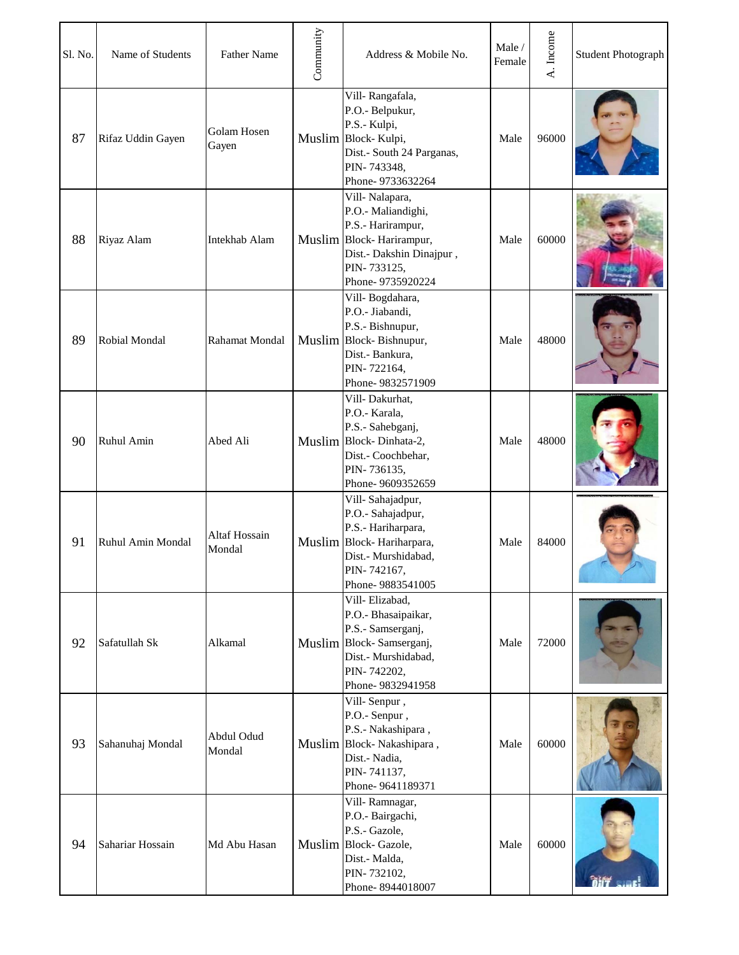| Sl. No. | Name of Students  | <b>Father Name</b>             | Community | Address & Mobile No.                                                                                                                                 | Male /<br>Female | A. Income | <b>Student Photograph</b> |
|---------|-------------------|--------------------------------|-----------|------------------------------------------------------------------------------------------------------------------------------------------------------|------------------|-----------|---------------------------|
| 87      | Rifaz Uddin Gayen | Golam Hosen<br>Gayen           |           | Vill-Rangafala,<br>P.O.- Belpukur,<br>P.S.- Kulpi,<br>Muslim Block-Kulpi,<br>Dist.- South 24 Parganas,<br>PIN-743348,<br>Phone-9733632264            | Male             | 96000     |                           |
| 88      | Riyaz Alam        | <b>Intekhab Alam</b>           |           | Vill-Nalapara,<br>P.O.- Maliandighi,<br>P.S.- Harirampur,<br>Muslim Block-Harirampur,<br>Dist.- Dakshin Dinajpur,<br>PIN-733125,<br>Phone-9735920224 | Male             | 60000     |                           |
| 89      | Robial Mondal     | Rahamat Mondal                 |           | Vill-Bogdahara,<br>P.O.- Jiabandi,<br>P.S.- Bishnupur,<br>Muslim Block-Bishnupur,<br>Dist.- Bankura,<br>PIN-722164,<br>Phone-9832571909              | Male             | 48000     |                           |
| 90      | Ruhul Amin        | Abed Ali                       |           | Vill-Dakurhat,<br>P.O.- Karala,<br>P.S.- Sahebganj,<br>Muslim Block-Dinhata-2,<br>Dist.- Coochbehar,<br>PIN-736135,<br>Phone-9609352659              | Male             | 48000     |                           |
| 91      | Ruhul Amin Mondal | <b>Altaf Hossain</b><br>Mondal |           | Vill-Sahajadpur,<br>P.O.- Sahajadpur,<br>P.S.- Hariharpara,<br>Muslim Block-Hariharpara,<br>Dist.- Murshidabad,<br>PIN-742167,<br>Phone-9883541005   | Male             | 84000     |                           |
| 92      | Safatullah Sk     | Alkamal                        |           | Vill-Elizabad,<br>P.O.- Bhasaipaikar,<br>P.S.- Samserganj,<br>Muslim Block-Samserganj,<br>Dist.- Murshidabad,<br>PIN-742202,<br>Phone-9832941958     | Male             | 72000     |                           |
| 93      | Sahanuhaj Mondal  | Abdul Odud<br>Mondal           |           | Vill-Senpur,<br>P.O.- Senpur,<br>P.S.- Nakashipara,<br>Muslim Block-Nakashipara,<br>Dist.- Nadia,<br>PIN-741137,<br>Phone-9641189371                 | Male             | 60000     |                           |
| 94      | Sahariar Hossain  | Md Abu Hasan                   |           | Vill-Ramnagar,<br>P.O.- Bairgachi,<br>P.S.- Gazole,<br>Muslim Block-Gazole,<br>Dist.- Malda,<br>PIN-732102,<br>Phone-8944018007                      | Male             | 60000     |                           |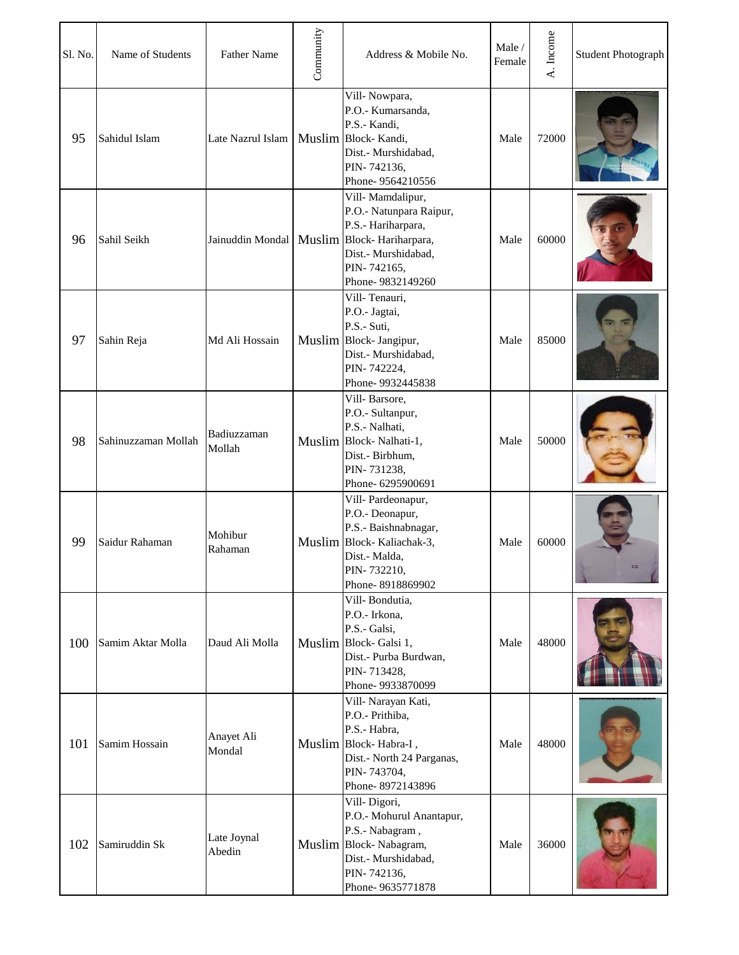| Sl. No. | Name of Students    | <b>Father Name</b>    | Community | Address & Mobile No.                                                                                                                                                          | Male/<br>Female | A. Income | <b>Student Photograph</b> |
|---------|---------------------|-----------------------|-----------|-------------------------------------------------------------------------------------------------------------------------------------------------------------------------------|-----------------|-----------|---------------------------|
| 95      | Sahidul Islam       | Late Nazrul Islam     |           | Vill-Nowpara,<br>P.O.- Kumarsanda,<br>P.S.- Kandi,<br>Muslim Block-Kandi,<br>Dist.- Murshidabad,<br>PIN-742136,<br>Phone-9564210556                                           | Male            | 72000     |                           |
| 96      | Sahil Seikh         |                       |           | Vill-Mamdalipur,<br>P.O.- Natunpara Raipur,<br>P.S.- Hariharpara,<br>Jainuddin Mondal   Muslim   Block-Hariharpara,<br>Dist.- Murshidabad,<br>PIN-742165,<br>Phone-9832149260 | Male            | 60000     |                           |
| 97      | Sahin Reja          | Md Ali Hossain        |           | Vill-Tenauri,<br>P.O.- Jagtai,<br>P.S.- Suti,<br>Muslim Block- Jangipur,<br>Dist.- Murshidabad,<br>PIN-742224,<br>Phone-9932445838                                            | Male            | 85000     |                           |
| 98      | Sahinuzzaman Mollah | Badiuzzaman<br>Mollah |           | Vill-Barsore,<br>P.O.- Sultanpur,<br>P.S.- Nalhati,<br>Muslim Block-Nalhati-1,<br>Dist.- Birbhum,<br>PIN-731238,<br>Phone- 6295900691                                         | Male            | 50000     |                           |
| 99      | Saidur Rahaman      | Mohibur<br>Rahaman    |           | Vill-Pardeonapur,<br>P.O.- Deonapur,<br>P.S.- Baishnabnagar,<br>Muslim Block-Kaliachak-3,<br>Dist.- Malda,<br>PIN-732210,<br>Phone-8918869902                                 | Male            | 60000     |                           |
| 100     | Samim Aktar Molla   | Daud Ali Molla        |           | Vill-Bondutia,<br>P.O.- Irkona,<br>P.S.- Galsi,<br>Muslim Block-Galsi 1,<br>Dist.- Purba Burdwan,<br>PIN-713428,<br>Phone-9933870099                                          | Male            | 48000     |                           |
| 101     | Samim Hossain       | Anayet Ali<br>Mondal  |           | Vill- Narayan Kati,<br>P.O.- Prithiba,<br>P.S.- Habra,<br>Muslim Block-Habra-I,<br>Dist.- North 24 Parganas,<br>PIN-743704,<br>Phone-8972143896                               | Male            | 48000     |                           |
| 102     | Samiruddin Sk       | Late Joynal<br>Abedin |           | Vill-Digori,<br>P.O.- Mohurul Anantapur,<br>P.S.- Nabagram,<br>Muslim Block-Nabagram,<br>Dist.- Murshidabad,<br>PIN-742136,<br>Phone-9635771878                               | Male            | 36000     |                           |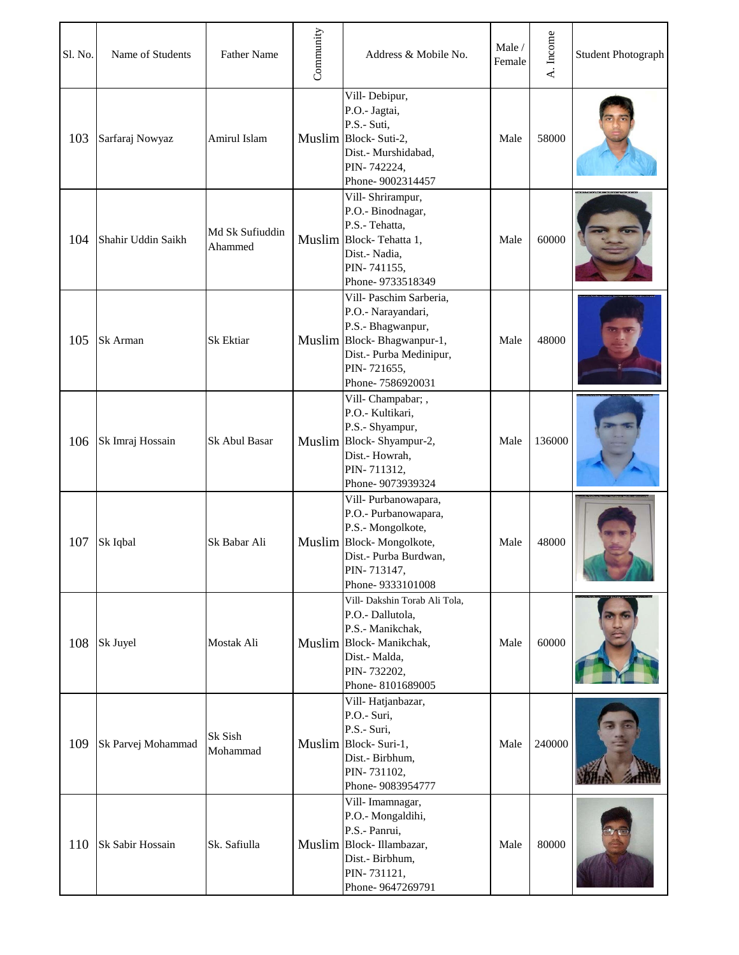| Sl. No. | Name of Students   | <b>Father Name</b>         | Community | Address & Mobile No.                                                                                                                                           | Male /<br>Female | A. Income | <b>Student Photograph</b> |
|---------|--------------------|----------------------------|-----------|----------------------------------------------------------------------------------------------------------------------------------------------------------------|------------------|-----------|---------------------------|
| 103     | Sarfaraj Nowyaz    | Amirul Islam               |           | Vill-Debipur,<br>P.O.- Jagtai,<br>P.S.- Suti,<br>Muslim Block-Suti-2,<br>Dist.- Murshidabad,<br>PIN-742224,<br>Phone-9002314457                                | Male             | 58000     |                           |
| 104     | Shahir Uddin Saikh | Md Sk Sufiuddin<br>Ahammed |           | Vill-Shrirampur,<br>P.O.- Binodnagar,<br>P.S.- Tehatta,<br>Muslim Block-Tehatta 1,<br>Dist.- Nadia,<br>PIN-741155,<br>Phone-9733518349                         | Male             | 60000     |                           |
| 105     | Sk Arman           | Sk Ektiar                  |           | Vill- Paschim Sarberia,<br>P.O.- Narayandari,<br>P.S.- Bhagwanpur,<br>Muslim Block-Bhagwanpur-1,<br>Dist.- Purba Medinipur,<br>PIN-721655,<br>Phone-7586920031 | Male             | 48000     |                           |
| 106     | Sk Imraj Hossain   | Sk Abul Basar              |           | Vill-Champabar; ,<br>P.O.- Kultikari,<br>P.S.- Shyampur,<br>Muslim Block-Shyampur-2,<br>Dist.- Howrah,<br>PIN-711312,<br>Phone-9073939324                      | Male             | 136000    |                           |
| 107     | Sk Iqbal           | Sk Babar Ali               |           | Vill- Purbanowapara,<br>P.O.- Purbanowapara,<br>P.S.- Mongolkote,<br>Muslim Block-Mongolkote,<br>Dist.- Purba Burdwan,<br>PIN-713147,<br>Phone-9333101008      | Male             | 48000     |                           |
| 108     | Sk Juyel           | Mostak Ali                 |           | Vill- Dakshin Torab Ali Tola,<br>P.O.- Dallutola,<br>P.S.- Manikchak,<br>Muslim Block-Manikchak,<br>Dist.- Malda,<br>PIN-732202,<br>Phone-8101689005           | Male             | 60000     |                           |
| 109     | Sk Parvej Mohammad | Sk Sish<br>Mohammad        |           | Vill-Hatjanbazar,<br>P.O.- Suri,<br>P.S.- Suri,<br>Muslim Block-Suri-1,<br>Dist.- Birbhum,<br>PIN-731102,<br>Phone- 9083954777                                 | Male             | 240000    |                           |
| 110     | Sk Sabir Hossain   | Sk. Safiulla               |           | Vill-Imamnagar,<br>P.O.- Mongaldihi,<br>P.S.- Panrui,<br>Muslim Block-Illambazar,<br>Dist.- Birbhum,<br>PIN-731121,<br>Phone-9647269791                        | Male             | 80000     |                           |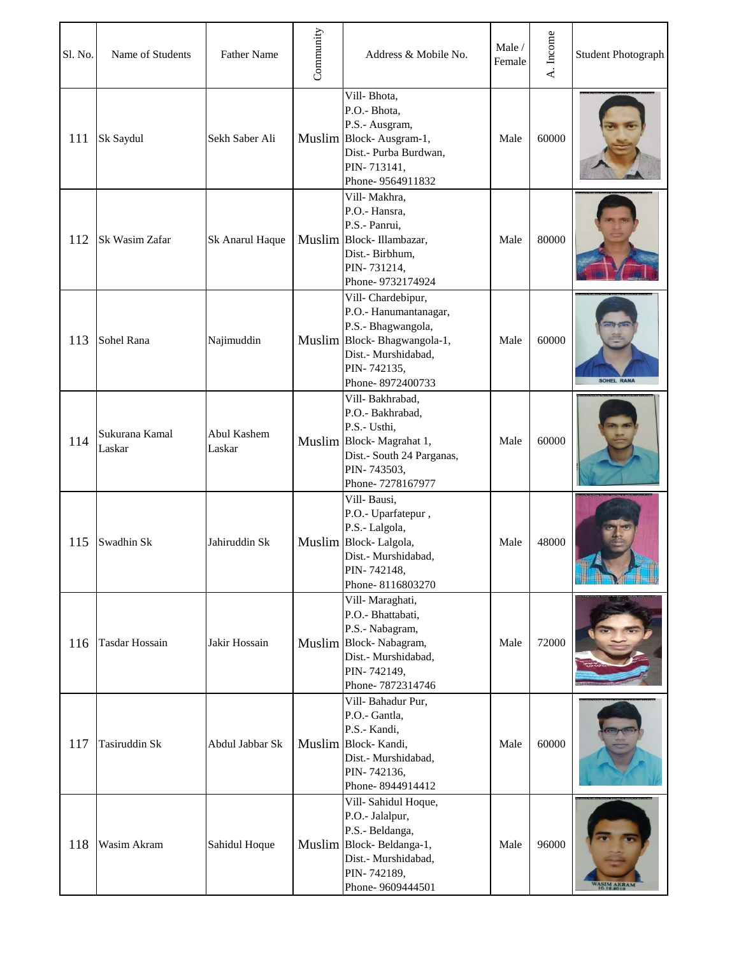| Sl. No. | Name of Students         | <b>Father Name</b>    | Community | Address & Mobile No.                                                                                                                                      | Male/<br>Female | A. Income | <b>Student Photograph</b> |
|---------|--------------------------|-----------------------|-----------|-----------------------------------------------------------------------------------------------------------------------------------------------------------|-----------------|-----------|---------------------------|
| 111     | Sk Saydul                | Sekh Saber Ali        |           | Vill-Bhota,<br>P.O.- Bhota,<br>P.S.- Ausgram,<br>Muslim Block-Ausgram-1,<br>Dist.- Purba Burdwan,<br>PIN-713141,<br>Phone-9564911832                      | Male            | 60000     |                           |
| 112     | Sk Wasim Zafar           | Sk Anarul Haque       |           | Vill-Makhra,<br>P.O.- Hansra,<br>P.S.- Panrui,<br>Muslim Block-Illambazar,<br>Dist.- Birbhum,<br>PIN-731214,<br>Phone-9732174924                          | Male            | 80000     |                           |
| 113     | Sohel Rana               | Najimuddin            |           | Vill-Chardebipur,<br>P.O.- Hanumantanagar,<br>P.S.- Bhagwangola,<br>Muslim Block-Bhagwangola-1,<br>Dist.- Murshidabad,<br>PIN-742135,<br>Phone-8972400733 | Male            | 60000     | <b>SOHEL RANA</b>         |
| 114     | Sukurana Kamal<br>Laskar | Abul Kashem<br>Laskar |           | Vill-Bakhrabad,<br>P.O.- Bakhrabad,<br>P.S.- Usthi,<br>Muslim Block-Magrahat 1,<br>Dist.- South 24 Parganas,<br>PIN-743503,<br>Phone-7278167977           | Male            | 60000     |                           |
| 115     | Swadhin Sk               | Jahiruddin Sk         |           | Vill-Bausi,<br>P.O.- Uparfatepur,<br>P.S.- Lalgola,<br>Muslim Block-Lalgola,<br>Dist.- Murshidabad,<br>PIN-742148,<br>Phone-8116803270                    | Male            | 48000     |                           |
| 116     | <b>Tasdar Hossain</b>    | Jakir Hossain         |           | Vill-Maraghati,<br>P.O.- Bhattabati,<br>P.S.- Nabagram,<br>Muslim Block-Nabagram,<br>Dist.- Murshidabad,<br>PIN-742149,<br>Phone-7872314746               | Male            | 72000     |                           |
| 117     | Tasiruddin Sk            | Abdul Jabbar Sk       |           | Vill-Bahadur Pur,<br>P.O.- Gantla,<br>P.S.- Kandi,<br>Muslim Block-Kandi,<br>Dist.- Murshidabad,<br>PIN-742136,<br>Phone-8944914412                       | Male            | 60000     |                           |
| 118     | Wasim Akram              | Sahidul Hoque         |           | Vill-Sahidul Hoque,<br>P.O.- Jalalpur,<br>P.S.- Beldanga,<br>Muslim Block-Beldanga-1,<br>Dist.- Murshidabad,<br>PIN-742189,<br>Phone-9609444501           | Male            | 96000     |                           |